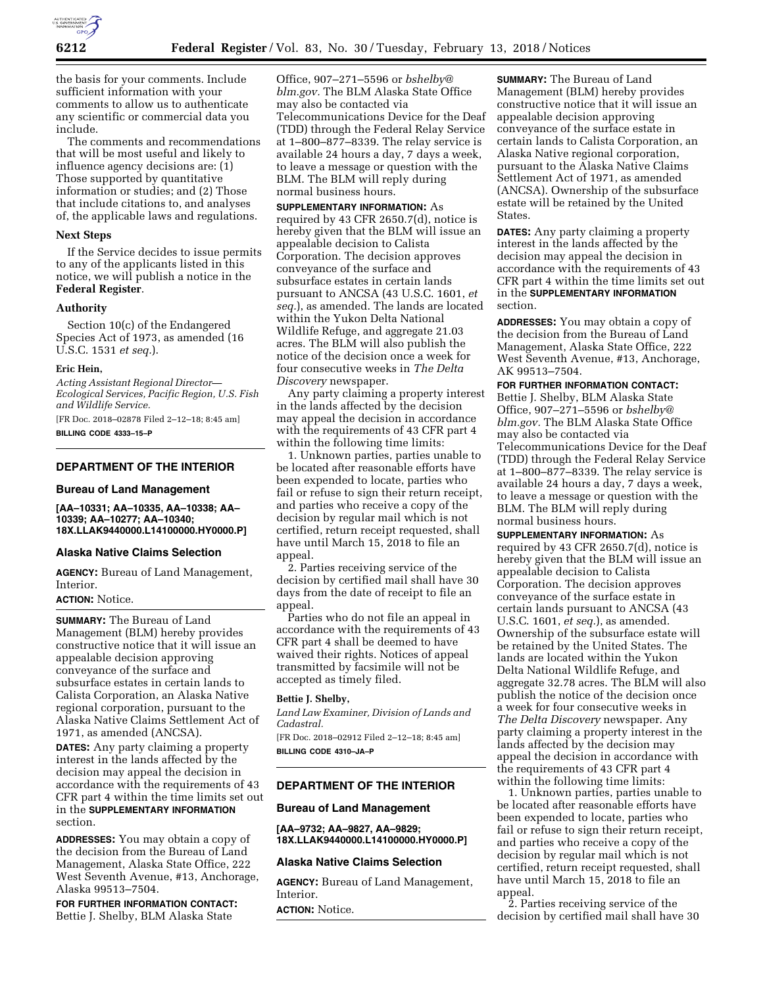

the basis for your comments. Include sufficient information with your comments to allow us to authenticate any scientific or commercial data you include.

The comments and recommendations that will be most useful and likely to influence agency decisions are: (1) Those supported by quantitative information or studies; and (2) Those that include citations to, and analyses of, the applicable laws and regulations.

#### **Next Steps**

If the Service decides to issue permits to any of the applicants listed in this notice, we will publish a notice in the **Federal Register**.

### **Authority**

Section 10(c) of the Endangered Species Act of 1973, as amended (16 U.S.C. 1531 *et seq.*).

#### **Eric Hein,**

*Acting Assistant Regional Director— Ecological Services, Pacific Region, U.S. Fish and Wildlife Service.*  [FR Doc. 2018–02878 Filed 2–12–18; 8:45 am]

**BILLING CODE 4333–15–P** 

## **DEPARTMENT OF THE INTERIOR**

#### **Bureau of Land Management**

**[AA–10331; AA–10335, AA–10338; AA– 10339; AA–10277; AA–10340; 18X.LLAK9440000.L14100000.HY0000.P]** 

## **Alaska Native Claims Selection**

**AGENCY:** Bureau of Land Management, Interior.

## **ACTION:** Notice.

**SUMMARY:** The Bureau of Land Management (BLM) hereby provides constructive notice that it will issue an appealable decision approving conveyance of the surface and subsurface estates in certain lands to Calista Corporation, an Alaska Native regional corporation, pursuant to the Alaska Native Claims Settlement Act of 1971, as amended (ANCSA).

**DATES:** Any party claiming a property interest in the lands affected by the decision may appeal the decision in accordance with the requirements of 43 CFR part 4 within the time limits set out in the **SUPPLEMENTARY INFORMATION** section.

**ADDRESSES:** You may obtain a copy of the decision from the Bureau of Land Management, Alaska State Office, 222 West Seventh Avenue, #13, Anchorage, Alaska 99513–7504.

**FOR FURTHER INFORMATION CONTACT:**  Bettie J. Shelby, BLM Alaska State

Office, 907–271–5596 or *[bshelby@](mailto:bshelby@blm.gov) [blm.gov.](mailto:bshelby@blm.gov)* The BLM Alaska State Office may also be contacted via Telecommunications Device for the Deaf (TDD) through the Federal Relay Service at 1–800–877–8339. The relay service is available 24 hours a day, 7 days a week, to leave a message or question with the BLM. The BLM will reply during normal business hours.

**SUPPLEMENTARY INFORMATION:** As required by 43 CFR 2650.7(d), notice is hereby given that the BLM will issue an appealable decision to Calista Corporation. The decision approves conveyance of the surface and subsurface estates in certain lands pursuant to ANCSA (43 U.S.C. 1601, *et seq.*), as amended. The lands are located within the Yukon Delta National Wildlife Refuge, and aggregate 21.03 acres. The BLM will also publish the notice of the decision once a week for four consecutive weeks in *The Delta Discovery* newspaper.

Any party claiming a property interest in the lands affected by the decision may appeal the decision in accordance with the requirements of 43 CFR part 4 within the following time limits:

1. Unknown parties, parties unable to be located after reasonable efforts have been expended to locate, parties who fail or refuse to sign their return receipt, and parties who receive a copy of the decision by regular mail which is not certified, return receipt requested, shall have until March 15, 2018 to file an appeal.

2. Parties receiving service of the decision by certified mail shall have 30 days from the date of receipt to file an appeal.

Parties who do not file an appeal in accordance with the requirements of 43 CFR part 4 shall be deemed to have waived their rights. Notices of appeal transmitted by facsimile will not be accepted as timely filed.

### **Bettie J. Shelby,**

*Land Law Examiner, Division of Lands and Cadastral.* 

[FR Doc. 2018–02912 Filed 2–12–18; 8:45 am] **BILLING CODE 4310–JA–P** 

## **DEPARTMENT OF THE INTERIOR**

### **Bureau of Land Management**

**[AA–9732; AA–9827, AA–9829; 18X.LLAK9440000.L14100000.HY0000.P]** 

#### **Alaska Native Claims Selection**

**AGENCY:** Bureau of Land Management, Interior.

**ACTION:** Notice.

**SUMMARY:** The Bureau of Land Management (BLM) hereby provides constructive notice that it will issue an appealable decision approving conveyance of the surface estate in certain lands to Calista Corporation, an Alaska Native regional corporation, pursuant to the Alaska Native Claims Settlement Act of 1971, as amended (ANCSA). Ownership of the subsurface estate will be retained by the United States.

**DATES:** Any party claiming a property interest in the lands affected by the decision may appeal the decision in accordance with the requirements of 43 CFR part 4 within the time limits set out in the **SUPPLEMENTARY INFORMATION** section.

**ADDRESSES:** You may obtain a copy of the decision from the Bureau of Land Management, Alaska State Office, 222 West Seventh Avenue, #13, Anchorage, AK 99513–7504.

#### **FOR FURTHER INFORMATION CONTACT:**

Bettie J. Shelby, BLM Alaska State Office, 907–271–5596 or *[bshelby@](mailto:bshelby@blm.gov) [blm.gov.](mailto:bshelby@blm.gov)* The BLM Alaska State Office may also be contacted via Telecommunications Device for the Deaf (TDD) through the Federal Relay Service at 1–800–877–8339. The relay service is available 24 hours a day, 7 days a week, to leave a message or question with the BLM. The BLM will reply during normal business hours.

**SUPPLEMENTARY INFORMATION:** As required by 43 CFR 2650.7(d), notice is hereby given that the BLM will issue an appealable decision to Calista Corporation. The decision approves conveyance of the surface estate in certain lands pursuant to ANCSA (43 U.S.C. 1601, *et seq.*), as amended. Ownership of the subsurface estate will be retained by the United States. The lands are located within the Yukon Delta National Wildlife Refuge, and aggregate 32.78 acres. The BLM will also publish the notice of the decision once a week for four consecutive weeks in *The Delta Discovery* newspaper. Any party claiming a property interest in the lands affected by the decision may appeal the decision in accordance with the requirements of 43 CFR part 4 within the following time limits:

1. Unknown parties, parties unable to be located after reasonable efforts have been expended to locate, parties who fail or refuse to sign their return receipt, and parties who receive a copy of the decision by regular mail which is not certified, return receipt requested, shall have until March 15, 2018 to file an appeal.

2. Parties receiving service of the decision by certified mail shall have 30